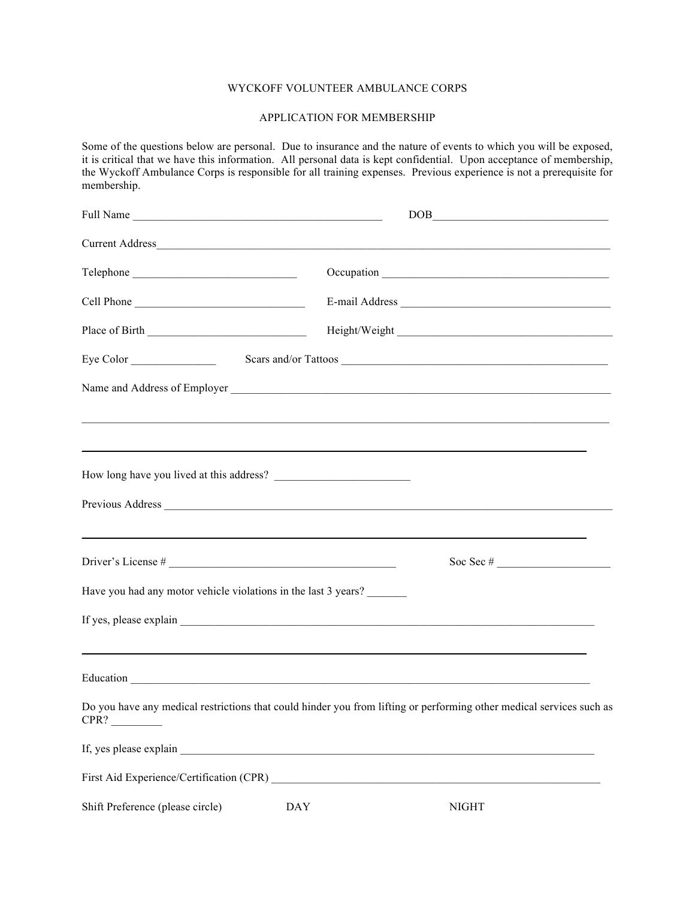## WYCKOFF VOLUNTEER AMBULANCE CORPS

## APPLICATION FOR MEMBERSHIP

Some of the questions below are personal. Due to insurance and the nature of events to which you will be exposed, it is critical that we have this information. All personal data is kept confidential. Upon acceptance of membership, the Wyckoff Ambulance Corps is responsible for all training expenses. Previous experience is not a prerequisite for membership.

|                                                                                                                                                                                                                               | $\begin{picture}(150,10) \put(0,0){\dashbox{0.5}(10,0){ }} \put(150,0){\circle{10}} \put(150,0){\circle{10}} \put(150,0){\circle{10}} \put(150,0){\circle{10}} \put(150,0){\circle{10}} \put(150,0){\circle{10}} \put(150,0){\circle{10}} \put(150,0){\circle{10}} \put(150,0){\circle{10}} \put(150,0){\circle{10}} \put(150,0){\circle{10}} \put(150,0){\circle{10}} \put(150,$ |
|-------------------------------------------------------------------------------------------------------------------------------------------------------------------------------------------------------------------------------|-----------------------------------------------------------------------------------------------------------------------------------------------------------------------------------------------------------------------------------------------------------------------------------------------------------------------------------------------------------------------------------|
|                                                                                                                                                                                                                               |                                                                                                                                                                                                                                                                                                                                                                                   |
|                                                                                                                                                                                                                               |                                                                                                                                                                                                                                                                                                                                                                                   |
| Cell Phone                                                                                                                                                                                                                    |                                                                                                                                                                                                                                                                                                                                                                                   |
|                                                                                                                                                                                                                               |                                                                                                                                                                                                                                                                                                                                                                                   |
| Eye Color                                                                                                                                                                                                                     |                                                                                                                                                                                                                                                                                                                                                                                   |
|                                                                                                                                                                                                                               |                                                                                                                                                                                                                                                                                                                                                                                   |
| ,我们也不能会在这里,我们的人们就会在这里,我们也不能会在这里,我们也不能会在这里,我们也不能会在这里,我们也不能会在这里,我们也不能会不能会不能会。""我们,我                                                                                                                                             |                                                                                                                                                                                                                                                                                                                                                                                   |
| ,我们也不会有什么?""我们的人,我们也不会有什么?""我们的人,我们也不会有什么?""我们的人,我们也不会有什么?""我们的人,我们也不会有什么?""我们的人                                                                                                                                              |                                                                                                                                                                                                                                                                                                                                                                                   |
|                                                                                                                                                                                                                               |                                                                                                                                                                                                                                                                                                                                                                                   |
|                                                                                                                                                                                                                               |                                                                                                                                                                                                                                                                                                                                                                                   |
|                                                                                                                                                                                                                               |                                                                                                                                                                                                                                                                                                                                                                                   |
|                                                                                                                                                                                                                               |                                                                                                                                                                                                                                                                                                                                                                                   |
| Have you had any motor vehicle violations in the last 3 years?                                                                                                                                                                |                                                                                                                                                                                                                                                                                                                                                                                   |
|                                                                                                                                                                                                                               |                                                                                                                                                                                                                                                                                                                                                                                   |
|                                                                                                                                                                                                                               |                                                                                                                                                                                                                                                                                                                                                                                   |
|                                                                                                                                                                                                                               |                                                                                                                                                                                                                                                                                                                                                                                   |
| Do you have any medical restrictions that could hinder you from lifting or performing other medical services such as<br>CPR?                                                                                                  |                                                                                                                                                                                                                                                                                                                                                                                   |
| If, yes please explain example and the set of the set of the set of the set of the set of the set of the set of the set of the set of the set of the set of the set of the set of the set of the set of the set of the set of |                                                                                                                                                                                                                                                                                                                                                                                   |
|                                                                                                                                                                                                                               |                                                                                                                                                                                                                                                                                                                                                                                   |
| <b>DAY</b><br>Shift Preference (please circle)                                                                                                                                                                                | <b>NIGHT</b>                                                                                                                                                                                                                                                                                                                                                                      |